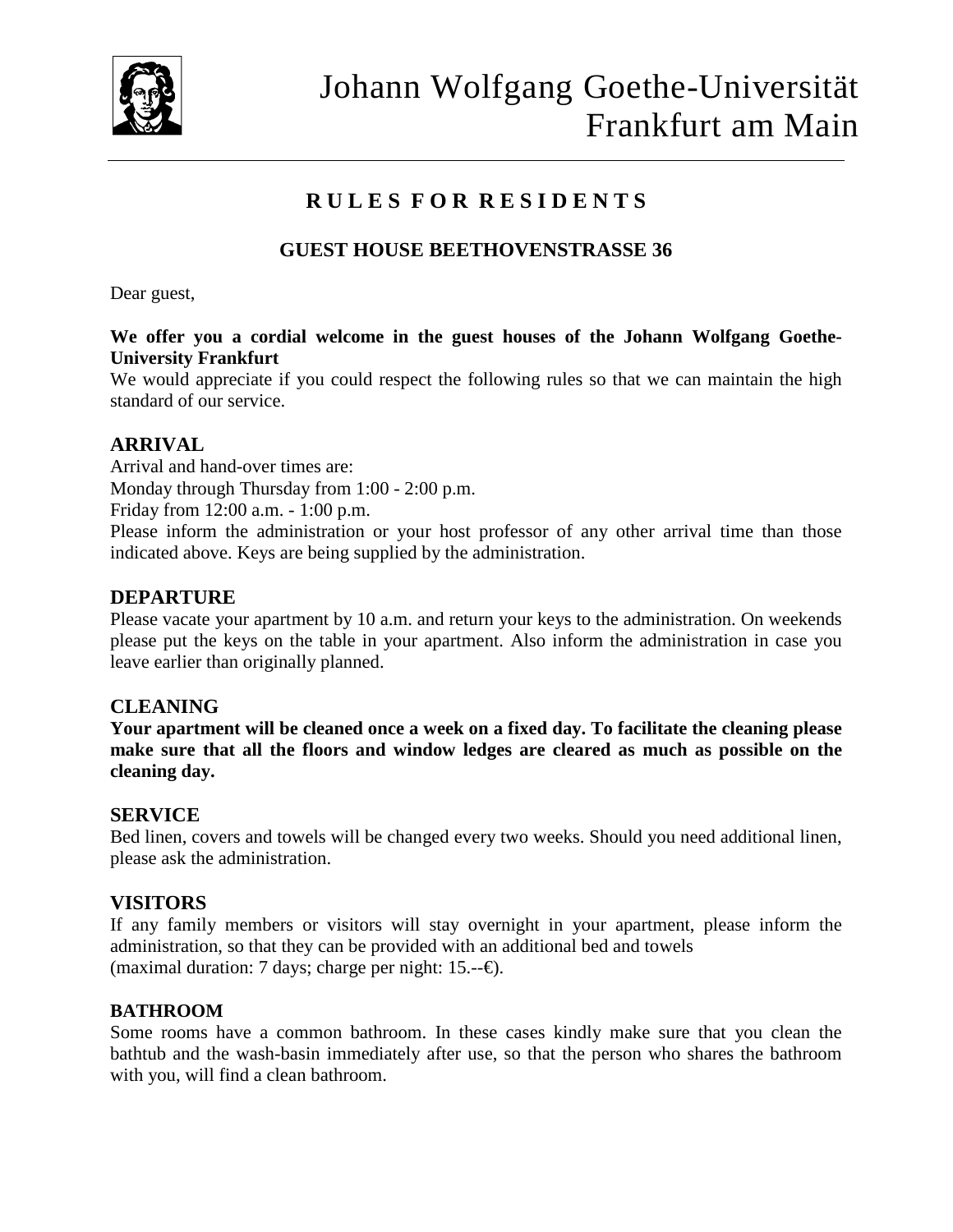

# **R U L E S F O R R E S I D E N T S**

## **GUEST HOUSE BEETHOVENSTRASSE 36**

Dear guest,

#### **We offer you a cordial welcome in the guest houses of the Johann Wolfgang Goethe-University Frankfurt**

We would appreciate if you could respect the following rules so that we can maintain the high standard of our service.

#### **ARRIVAL**

Arrival and hand-over times are:

Monday through Thursday from 1:00 - 2:00 p.m.

Friday from 12:00 a.m. - 1:00 p.m.

Please inform the administration or your host professor of any other arrival time than those indicated above. Keys are being supplied by the administration.

#### **DEPARTURE**

Please vacate your apartment by 10 a.m. and return your keys to the administration. On weekends please put the keys on the table in your apartment. Also inform the administration in case you leave earlier than originally planned.

#### **CLEANING**

**Your apartment will be cleaned once a week on a fixed day. To facilitate the cleaning please make sure that all the floors and window ledges are cleared as much as possible on the cleaning day.**

#### **SERVICE**

Bed linen, covers and towels will be changed every two weeks. Should you need additional linen, please ask the administration.

#### **VISITORS**

If any family members or visitors will stay overnight in your apartment, please inform the administration, so that they can be provided with an additional bed and towels (maximal duration: 7 days; charge per night: 15.— $\oplus$ ).

#### **BATHROOM**

Some rooms have a common bathroom. In these cases kindly make sure that you clean the bathtub and the wash-basin immediately after use, so that the person who shares the bathroom with you, will find a clean bathroom.